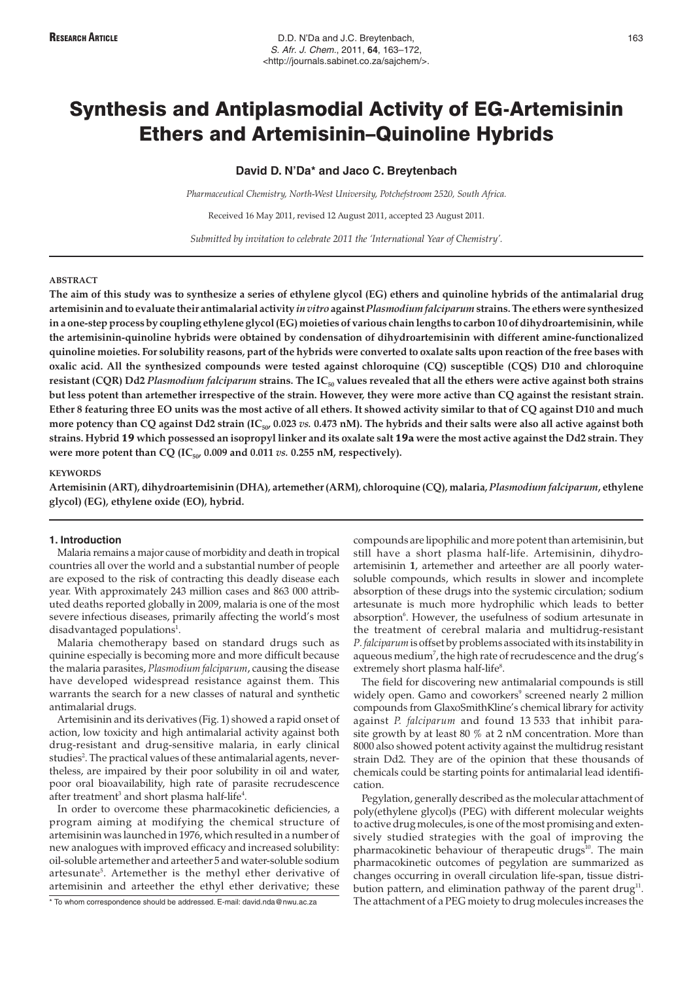# **David D. N'Da\* and Jaco C. Breytenbach**

*Pharmaceutical Chemistry, North-West University, Potchefstroom 2520, South Africa.*

Received 16 May 2011, revised 12 August 2011, accepted 23 August 2011.

*Submitted by invitation to celebrate 2011 the 'International Year of Chemistry'.*

### **ABSTRACT**

**The aim of this study was to synthesize a series of ethylene glycol (EG) ethers and quinoline hybrids of the antimalarial drug artemisinin and to evaluate their antimalarial activity** *in vitro* **against***Plasmodium falciparum* **strains. The ethers were synthesized in a one-step process by coupling ethylene glycol (EG) moieties of various chain lengths to carbon 10 of dihydroartemisinin, while the artemisinin-quinoline hybrids were obtained by condensation of dihydroartemisinin with different amine-functionalized quinoline moieties. For solubility reasons, part of the hybrids were converted to oxalate salts upon reaction of the free bases with oxalic acid. All the synthesized compounds were tested against chloroquine (CQ) susceptible (CQS) D10 and chloroquine** resistant (CQR) Dd2 *Plasmodium falciparum* strains. The IC<sub>50</sub> values revealed that all the ethers were active against both strains **but less potent than artemether irrespective of the strain. However, they were more active than CQ against the resistant strain. Ether 8 featuring three EO units was the most active of all ethers. It showed activity similar to that of CQ against D10 and much** more potency than CQ against Dd2 strain (IC<sub>50</sub>, 0.023 *vs.* 0.473 nM). The hybrids and their salts were also all active against both **strains. Hybrid** 19 **which possessed an isopropyl linker and its oxalate salt** 19a **were the most active against the Dd2 strain. They** were more potent than CQ ( $IC_{50}$ , 0.009 and 0.011 *vs.* 0.255 nM, respectively).

### **KEYWORDS**

**Artemisinin (ART), dihydroartemisinin (DHA), artemether (ARM), chloroquine (CQ), malaria,** *Plasmodium falciparum***, ethylene glycol) (EG), ethylene oxide (EO), hybrid.**

# **1. Introduction**

Malaria remains a major cause of morbidity and death in tropical countries all over the world and a substantial number of people are exposed to the risk of contracting this deadly disease each year. With approximately 243 million cases and 863 000 attributed deaths reported globally in 2009, malaria is one of the most severe infectious diseases, primarily affecting the world's most disadvantaged populations<sup>1</sup>.

Malaria chemotherapy based on standard drugs such as quinine especially is becoming more and more difficult because the malaria parasites, *Plasmodium falciparum*, causing the disease have developed widespread resistance against them. This warrants the search for a new classes of natural and synthetic antimalarial drugs.

Artemisinin and its derivatives (Fig. 1) showed a rapid onset of action, low toxicity and high antimalarial activity against both drug-resistant and drug-sensitive malaria, in early clinical studies<sup>2</sup>. The practical values of these antimalarial agents, nevertheless, are impaired by their poor solubility in oil and water, poor oral bioavailability, high rate of parasite recrudescence after treatment $^3$  and short plasma half-life $^4$ .

In order to overcome these pharmacokinetic deficiencies, a program aiming at modifying the chemical structure of artemisinin was launched in 1976, which resulted in a number of new analogues with improved efficacy and increased solubility: oil-soluble artemether and arteether 5 and water-soluble sodium artesunate<sup>5</sup>. Artemether is the methyl ether derivative of artemisinin and arteether the ethyl ether derivative; these

\* To whom correspondence should be addressed. E-mail: david.nda@nwu.ac.za

compounds are lipophilic and more potent than artemisinin, but still have a short plasma half-life. Artemisinin, dihydroartemisinin **1**, artemether and arteether are all poorly watersoluble compounds, which results in slower and incomplete absorption of these drugs into the systemic circulation; sodium artesunate is much more hydrophilic which leads to better absorption<sup>6</sup>. However, the usefulness of sodium artesunate in the treatment of cerebral malaria and multidrug-resistant *P. falciparum*is offset by problems associated with its instability in aqueous medium $^7$ , the high rate of recrudescence and the drug's extremely short plasma half-life<sup>8</sup>.

The field for discovering new antimalarial compounds is still widely open. Gamo and coworkers<sup>9</sup> screened nearly 2 million compounds from GlaxoSmithKline's chemical library for activity against *P. falciparum* and found 13 533 that inhibit parasite growth by at least 80 % at 2 nM concentration. More than 8000 also showed potent activity against the multidrug resistant strain Dd2. They are of the opinion that these thousands of chemicals could be starting points for antimalarial lead identification.

Pegylation, generally described as the molecular attachment of poly(ethylene glycol)s (PEG) with different molecular weights to active drug molecules, is one of the most promising and extensively studied strategies with the goal of improving the pharmacokinetic behaviour of therapeutic drugs<sup>10</sup>. The main pharmacokinetic outcomes of pegylation are summarized as changes occurring in overall circulation life-span, tissue distribution pattern, and elimination pathway of the parent drug<sup>11</sup>. The attachment of a PEG moiety to drug molecules increases the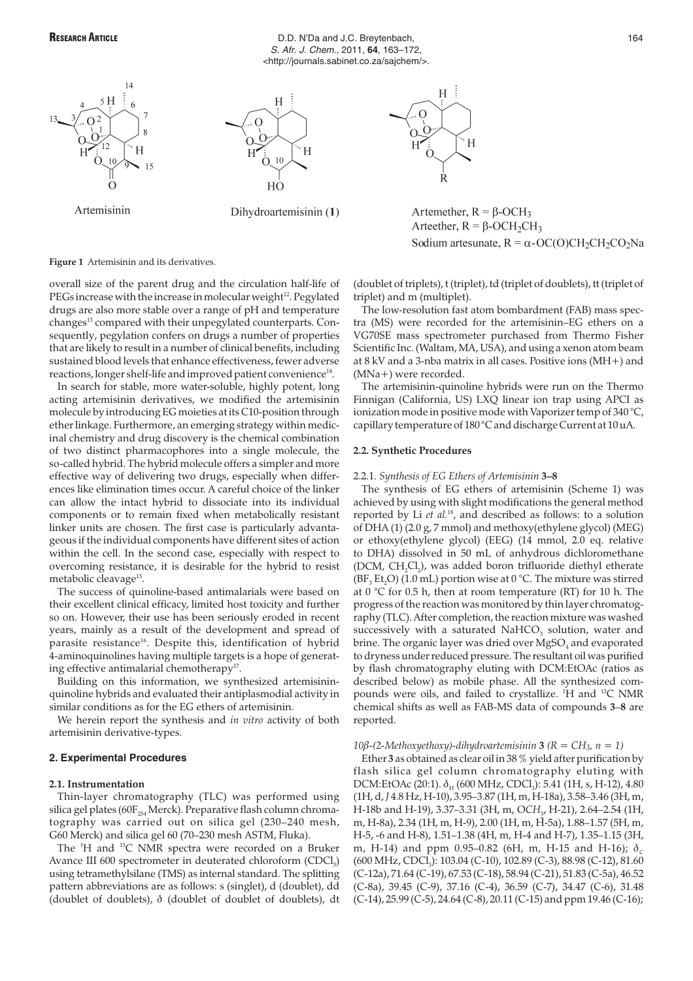







Artemether,  $R = \beta$ -OCH<sub>3</sub> Arteether,  $R = \beta$ -OCH<sub>2</sub>CH<sub>3</sub> Sodium artesunate,  $R = \alpha$ -OC(O)CH<sub>2</sub>CH<sub>2</sub>CO<sub>2</sub>Na

**Figure 1** Artemisinin and its derivatives.

overall size of the parent drug and the circulation half-life of PEGs increase with the increase in molecular weight<sup>12</sup>. Pegylated drugs are also more stable over a range of pH and temperature changes<sup>13</sup> compared with their unpegylated counterparts. Consequently, pegylation confers on drugs a number of properties that are likely to result in a number of clinical benefits, including sustained blood levels that enhance effectiveness, fewer adverse reactions, longer shelf-life and improved patient convenience<sup>14</sup>.

In search for stable, more water-soluble, highly potent, long acting artemisinin derivatives, we modified the artemisinin molecule by introducing EG moieties at its C10-position through ether linkage. Furthermore, an emerging strategy within medicinal chemistry and drug discovery is the chemical combination of two distinct pharmacophores into a single molecule, the so-called hybrid. The hybrid molecule offers a simpler and more effective way of delivering two drugs, especially when differences like elimination times occur. A careful choice of the linker can allow the intact hybrid to dissociate into its individual components or to remain fixed when metabolically resistant linker units are chosen. The first case is particularly advantageous if the individual components have different sites of action within the cell. In the second case, especially with respect to overcoming resistance, it is desirable for the hybrid to resist metabolic cleavage<sup>15</sup>.

The success of quinoline-based antimalarials were based on their excellent clinical efficacy, limited host toxicity and further so on. However, their use has been seriously eroded in recent years, mainly as a result of the development and spread of parasite resistance<sup>16</sup>. Despite this, identification of hybrid 4-aminoquinolines having multiple targets is a hope of generating effective antimalarial chemotherapy<sup>17</sup>.

Building on this information, we synthesized artemisininquinoline hybrids and evaluated their antiplasmodial activity in similar conditions as for the EG ethers of artemisinin.

We herein report the synthesis and *in vitro* activity of both artemisinin derivative-types.

# **2. Experimental Procedures**

# **2.1. Instrumentation**

Thin-layer chromatography (TLC) was performed using silica gel plates (60 $F_{254}$  Merck). Preparative flash column chromatography was carried out on silica gel (230–240 mesh, G60 Merck) and silica gel 60 (70–230 mesh ASTM, Fluka).

The <sup>1</sup>H and <sup>13</sup>C NMR spectra were recorded on a Bruker Avance III 600 spectrometer in deuterated chloroform  $(CDCI<sub>3</sub>)$ using tetramethylsilane (TMS) as internal standard. The splitting pattern abbreviations are as follows: s (singlet), d (doublet), dd (doublet of doublets),  $\delta$  (doublet of doublet of doublets), dt (doublet of triplets), t (triplet), td (triplet of doublets), tt (triplet of triplet) and m (multiplet).

The low-resolution fast atom bombardment (FAB) mass spectra (MS) were recorded for the artemisinin–EG ethers on a VG70SE mass spectrometer purchased from Thermo Fisher Scientific Inc. (Waltam, MA, USA), and using a xenon atom beam at 8 kV and a 3-nba matrix in all cases. Positive ions (MH+) and (MNa+) were recorded.

The artemisinin-quinoline hybrids were run on the Thermo Finnigan (California, US) LXQ linear ion trap using APCI as ionization mode in positive mode with Vaporizer temp of 340 °C, capillary temperature of 180 °C and discharge Current at 10 uA.

# **2.2. Synthetic Procedures**

# 2.2.1. *Synthesis of EG Ethers of Artemisinin* **3–8**

The synthesis of EG ethers of artemisinin (Scheme 1) was achieved by using with slight modifications the general method reported by Li *et al.*18, and described as follows: to a solution of DHA (1) (2.0 g, 7 mmol) and methoxy(ethylene glycol) (MEG) or ethoxy(ethylene glycol) (EEG) (14 mmol, 2.0 eq. relative to DHA) dissolved in 50 mL of anhydrous dichloromethane (DCM, CH<sub>2</sub>Cl<sub>2</sub>), was added boron trifluoride diethyl etherate  $(BF<sub>3</sub> Et<sub>2</sub>O)$  (1.0 mL) portion wise at 0 °C. The mixture was stirred at  $0^{\circ}$ C for 0.5 h, then at room temperature (RT) for 10 h. The progress of the reaction was monitored by thin layer chromatography (TLC). After completion, the reaction mixture was washed successively with a saturated  $NaHCO<sub>3</sub>$  solution, water and brine. The organic layer was dried over  $MgSO<sub>4</sub>$  and evaporated to dryness under reduced pressure. The resultant oil was purified by flash chromatography eluting with DCM:EtOAc (ratios as described below) as mobile phase. All the synthesized compounds were oils, and failed to crystallize. <sup>1</sup>H and <sup>13</sup>C NMR chemical shifts as well as FAB-MS data of compounds **3**–**8** are reported.

10 $\beta$ -(2-Methoxyethoxy)-dihydroartemisinin **3**  $(R = CH_3, n = 1)$ 

Ether **3** as obtained as clear oil in 38 % yield after purification by flash silica gel column chromatography eluting with DCM:EtOAc (20:1).  $\delta_H$  (600 MHz, CDCl<sub>3</sub>): 5.41 (1H, s, H-12), 4.80 (1H, d, *J* 4.8 Hz, H-10), 3.95–3.87 (1H, m, H-18a), 3.58–3.46 (3H, m, H-18b and H-19), 3.37-3.31 (3H, m, OCH<sub>3</sub>, H-21), 2.64-2.54 (1H, m, H-8a), 2.34 (1H, m, H-9), 2.00 (1H, m, H-5a), 1.88–1.57 (5H, m, H-5, -6 and H-8), 1.51–1.38 (4H, m, H-4 and H-7), 1.35–1.15 (3H, m, H-14) and ppm 0.95–0.82 (6H, m, H-15 and H-16);  $\delta_c$ (600 MHz, CDCl<sub>3</sub>): 103.04 (C-10), 102.89 (C-3), 88.98 (C-12), 81.60 (C-12a), 71.64 (C-19), 67.53 (C-18), 58.94 (C-21), 51.83 (C-5a), 46.52 (C-8a), 39.45 (C-9), 37.16 (C-4), 36.59 (C-7), 34.47 (C-6), 31.48 (C-14), 25.99 (C-5), 24.64 (C-8), 20.11 (C-15) and ppm 19.46 (C-16);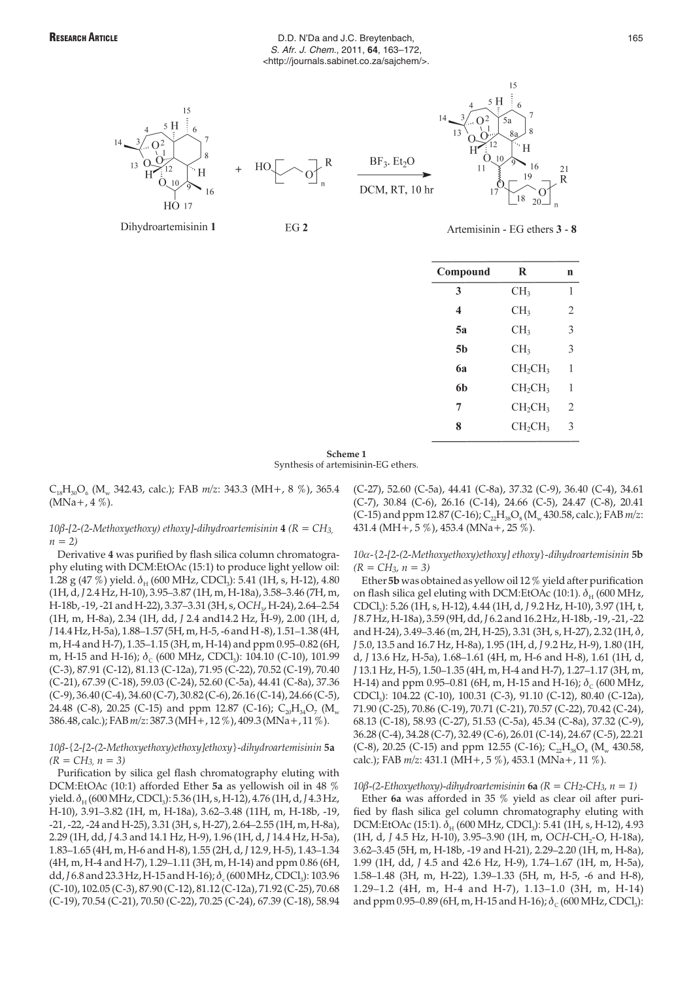# RESEARCH ARTICLE **RESEARCH ARTICLE BLOOM D.D. N'Da and J.C. Breytenbach**, **165** S. Afr. J. Chem., 2011, **64**, 163–172, <http://journals.sabinet.co.za/sajchem/>.



Dihydroartemisinin 1



EG<sub>2</sub>





 $15$ 

Artemisinin - EG ethers 3 - 8

| Compound                | R                               | n              |
|-------------------------|---------------------------------|----------------|
| 3                       | CH <sub>3</sub>                 | 1              |
| $\overline{\mathbf{4}}$ | CH <sub>3</sub>                 | $\overline{2}$ |
| 5а                      | CH <sub>3</sub>                 | 3              |
| 5h                      | CH <sub>3</sub>                 | 3              |
| 6а                      | CH <sub>2</sub> CH <sub>3</sub> | 1              |
| 6h                      | CH <sub>2</sub> CH <sub>3</sub> | 1              |
| 7                       | CH <sub>2</sub> CH <sub>3</sub> | $\overline{2}$ |
| 8                       | CH <sub>2</sub> CH <sub>3</sub> | 3              |
|                         |                                 |                |

**Scheme 1** Synthesis of artemisinin-EG ethers.

C18H30O6 (Mw 342.43, calc.); FAB *m/z*: 343.3 (MH+, 8 %), 365.4  $(MNa+, 4\%)$ .

*10*Ä*-[2-(2-Methoxyethoxy) ethoxy]-dihydroartemisinin* **4** *(R = CH3, n = 2)*

Derivative **4** was purified by flash silica column chromatography eluting with DCM:EtOAc (15:1) to produce light yellow oil: 1.28 g (47 %) yield.  $\delta_{\rm H}$  (600 MHz, CDCl<sub>3</sub>): 5.41 (1H, s, H-12), 4.80 (1H, d, *J* 2.4 Hz, H-10), 3.95–3.87 (1H, m, H-18a), 3.58–3.46 (7H, m, H-18b, -19, -21 and H-22), 3.37-3.31 (3H, s, OCH<sub>3</sub>, H-24), 2.64-2.54 (1H, m, H-8a), 2.34 (1H, dd, *J* 2.4 and14.2 Hz, H-9), 2.00 (1H, d, *J* 14.4 Hz, H-5a), 1.88–1.57 (5H, m, H-5, -6 and H -8), 1.51–1.38 (4H, m, H-4 and H-7), 1.35–1.15 (3H, m, H-14) and ppm 0.95–0.82 (6H, m, H-15 and H-16);  $\delta_c$  (600 MHz, CDCl<sub>3</sub>): 104.10 (C-10), 101.99 (C-3), 87.91 (C-12), 81.13 (C-12a), 71.95 (C-22), 70.52 (C-19), 70.40 (C-21), 67.39 (C-18), 59.03 (C-24), 52.60 (C-5a), 44.41 (C-8a), 37.36 (C-9), 36.40 (C-4), 34.60 (C-7), 30.82 (C-6), 26.16 (C-14), 24.66 (C-5), 24.48 (C-8), 20.25 (C-15) and ppm 12.87 (C-16);  $C_{20}H_{34}O_7$  (M<sub>w</sub> 386.48, calc.); FAB*m/z*: 387.3 (MH+, 12 %), 409.3 (MNa+, 11 %).

*10*Ä*-{2-[2-(2-Methoxyethoxy)ethoxy]ethoxy}-dihydroartemisinin* **5a** *(R = CH3, n = 3)*

Purification by silica gel flash chromatography eluting with DCM:EtOAc (10:1) afforded Ether **5a** as yellowish oil in 48 % yield.  $\delta$ <sub>H</sub> (600 MHz, CDCl<sub>3</sub>): 5.36 (1H, s, H-12), 4.76 (1H, d, J 4.3 Hz, H-10), 3.91–3.82 (1H, m, H-18a), 3.62–3.48 (11H, m, H-18b, -19, -21, -22, -24 and H-25), 3.31 (3H, s, H-27), 2.64–2.55 (1H, m, H-8a), 2.29 (1H, dd, *J* 4.3 and 14.1 Hz, H-9), 1.96 (1H, d, *J* 14.4 Hz, H-5a), 1.83–1.65 (4H, m, H-6 and H-8), 1.55 (2H, d, *J* 12.9, H-5), 1.43–1.34 (4H, m, H-4 and H-7), 1.29–1.11 (3H, m, H-14) and ppm 0.86 (6H, dd, *J* 6.8 and 23.3 Hz, H-15 and H-16);  $\delta$  (600 MHz, CDCl<sub>3</sub>): 103.96 (C-10), 102.05 (C-3), 87.90 (C-12), 81.12 (C-12a), 71.92 (C-25), 70.68 (C-19), 70.54 (C-21), 70.50 (C-22), 70.25 (C-24), 67.39 (C-18), 58.94 (C-27), 52.60 (C-5a), 44.41 (C-8a), 37.32 (C-9), 36.40 (C-4), 34.61 (C-7), 30.84 (C-6), 26.16 (C-14), 24.66 (C-5), 24.47 (C-8), 20.41 (C-15) and ppm 12.87 (C-16);  $C_{22}H_{38}O_8(M_w 430.58, \text{calc.})$ ; FAB  $m/z$ : 431.4 (MH+, 5 %), 453.4 (MNa+, 25 %).

*10*~*-{2-[2-(2-Methoxyethoxy)ethoxy] ethoxy}-dihydroartemisinin* **5b** *(R = CH3, n = 3)*

Ether **5b** was obtained as yellow oil 12 % yield after purification on flash silica gel eluting with DCM:EtOAc (10:1).  $\delta_{\text{H}}$  (600 MHz, CDCl3): 5.26 (1H, s, H-12), 4.44 (1H, d, *J* 9.2 Hz, H-10), 3.97 (1H, t, *J* 8.7 Hz, H-18a), 3.59 (9H, dd,*J* 6.2 and 16.2 Hz, H-18b, -19, -21, -22 and H-24), 3.49–3.46 (m, 2H, H-25), 3.31 (3H, s, H-27), 2.32 (1H,  $\delta$ , *J* 5.0, 13.5 and 16.7 Hz, H-8a), 1.95 (1H, d, *J* 9.2 Hz, H-9), 1.80 (1H, d, *J* 13.6 Hz, H-5a), 1.68–1.61 (4H, m, H-6 and H-8), 1.61 (1H, d, *J* 13.1 Hz, H-5), 1.50–1.35 (4H, m, H-4 and H-7), 1.27–1.17 (3H, m, H-14) and ppm 0.95–0.81 (6H, m, H-15 and H-16);  $\delta_c$  (600 MHz, CDCl3): 104.22 (C-10), 100.31 (C-3), 91.10 (C-12), 80.40 (C-12a), 71.90 (C-25), 70.86 (C-19), 70.71 (C-21), 70.57 (C-22), 70.42 (C-24), 68.13 (C-18), 58.93 (C-27), 51.53 (C-5a), 45.34 (C-8a), 37.32 (C-9), 36.28 (C-4), 34.28 (C-7), 32.49 (C-6), 26.01 (C-14), 24.67 (C-5), 22.21 (C-8), 20.25 (C-15) and ppm 12.55 (C-16);  $C_2H_{30}O_8$  (M<sub>w</sub> 430.58, calc.); FAB *m/z*: 431.1 (MH+, 5 %), 453.1 (MNa+, 11 %).

### 10 $\beta$ -(2-Ethoxyethoxy)-dihydroartemisinin **6a**  $(R = CH_2-CH_3, n = 1)$

Ether **6a** was afforded in 35 % yield as clear oil after purified by flash silica gel column chromatography eluting with DCM:EtOAc (15:1).  $\delta_H$  (600 MHz, CDCl<sub>3</sub>): 5.41 (1H, s, H-12), 4.93 (1H, d, *J* 4.5 Hz, H-10), 3.95-3.90 (1H, m, OCH-CH<sub>2</sub>-O, H-18a), 3.62–3.45 (5H, m, H-18b, -19 and H-21), 2.29–2.20 (1H, m, H-8a), 1.99 (1H, dd, *J* 4.5 and 42.6 Hz, H-9), 1.74–1.67 (1H, m, H-5a), 1.58–1.48 (3H, m, H-22), 1.39–1.33 (5H, m, H-5, -6 and H-8), 1.29–1.2 (4H, m, H-4 and H-7), 1.13–1.0 (3H, m, H-14) and ppm 0.95–0.89 (6H, m, H-15 and H-16);  $\delta_c$  (600 MHz, CDCl<sub>3</sub>):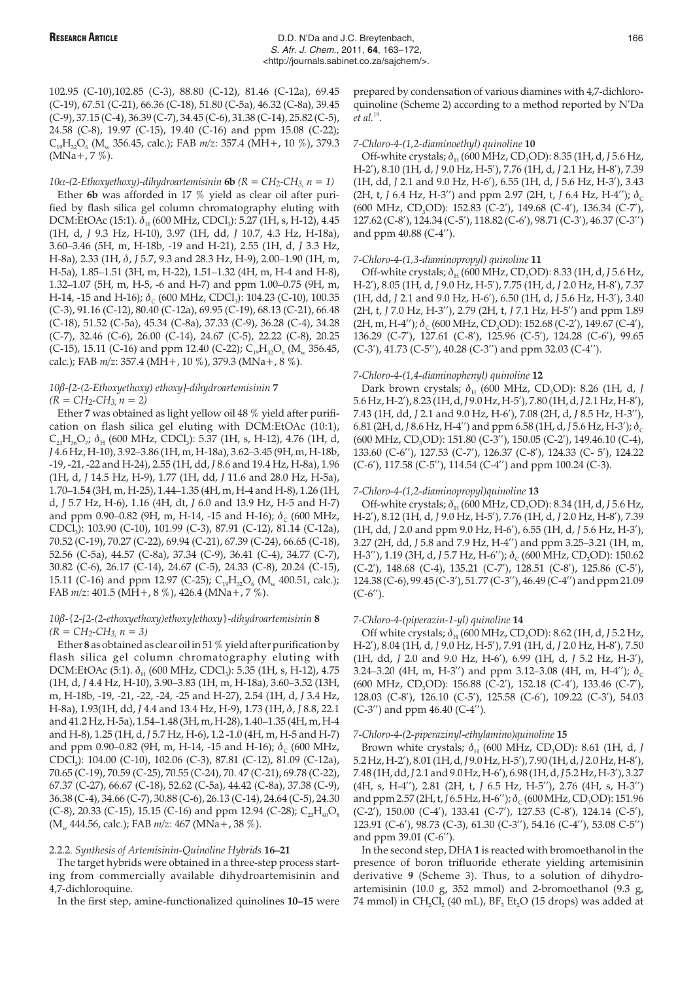102.95 (C-10),102.85 (C-3), 88.80 (C-12), 81.46 (C-12a), 69.45 (C-19), 67.51 (C-21), 66.36 (C-18), 51.80 (C-5a), 46.32 (C-8a), 39.45 (C-9), 37.15 (C-4), 36.39 (C-7), 34.45 (C-6), 31.38 (C-14), 25.82 (C-5), 24.58 (C-8), 19.97 (C-15), 19.40 (C-16) and ppm 15.08 (C-22); C19H32O6 (Mw 356.45, calc.); FAB *m/z*: 357.4 (MH+, 10 %), 379.3  $(MNa+, 7\%)$ .

# 10 $\alpha$ -(2-Ethoxyethoxy)-dihydroartemisinin **6b**  $(R = CH_2-CH_3, n = 1)$

Ether **6b** was afforded in 17 % yield as clear oil after purified by flash silica gel column chromatography eluting with DCM:EtOAc (15:1).  $\delta_H$  (600 MHz, CDCl<sub>3</sub>): 5.27 (1H, s, H-12), 4.45 (1H, d, *J* 9.3 Hz, H-10), 3.97 (1H, dd, *J* 10.7, 4.3 Hz, H-18a), 3.60–3.46 (5H, m, H-18b, -19 and H-21), 2.55 (1H, d, *J* 3.3 Hz, H-8a), 2.33 (1H, Ç, *J* 5.7, 9.3 and 28.3 Hz, H-9), 2.00–1.90 (1H, m, H-5a), 1.85–1.51 (3H, m, H-22), 1.51–1.32 (4H, m, H-4 and H-8), 1.32–1.07 (5H, m, H-5, -6 and H-7) and ppm 1.00–0.75 (9H, m, H-14, -15 and H-16);  $\delta_c$  (600 MHz, CDCl<sub>3</sub>): 104.23 (C-10), 100.35 (C-3), 91.16 (C-12), 80.40 (C-12a), 69.95 (C-19), 68.13 (C-21), 66.48 (C-18), 51.52 (C-5a), 45.34 (C-8a), 37.33 (C-9), 36.28 (C-4), 34.28 (C-7), 32.46 (C-6), 26.00 (C-14), 24.67 (C-5), 22.22 (C-8), 20.25 (C-15), 15.11 (C-16) and ppm 12.40 (C-22);  $C_{19}H_{32}O_6$  (M<sub>w</sub> 356.45, calc.); FAB *m/z*: 357.4 (MH+, 10 %), 379.3 (MNa+, 8 %).

# *10*Ä*-[2-(2-Ethoxyethoxy) ethoxy]-dihydroartemisinin* **7** *(R = CH2-CH3, n = 2)*

Ether **7** was obtained as light yellow oil 48 % yield after purification on flash silica gel eluting with DCM:EtOAc (10:1),  $C_{21}H_{36}O_{7}$ ;  $\delta_{H}$  (600 MHz, CDCl<sub>3</sub>): 5.37 (1H, s, H-12), 4.76 (1H, d, *J* 4.6 Hz, H-10), 3.92–3.86 (1H, m, H-18a), 3.62–3.45 (9H, m, H-18b, -19, -21, -22 and H-24), 2.55 (1H, dd, *J* 8.6 and 19.4 Hz, H-8a), 1.96 (1H, d, *J* 14.5 Hz, H-9), 1.77 (1H, dd, *J* 11.6 and 28.0 Hz, H-5a), 1.70–1.54 (3H, m, H-25), 1.44–1.35 (4H, m, H-4 and H-8), 1.26 (1H, d, *J* 5.7 Hz, H-6), 1.16 (4H, dt, *J* 6.0 and 13.9 Hz, H-5 and H-7) and ppm 0.90–0.82 (9H, m, H-14, -15 and H-16);  $\delta_c$  (600 MHz, CDCl3): 103.90 (C-10), 101.99 (C-3), 87.91 (C-12), 81.14 (C-12a), 70.52 (C-19), 70.27 (C-22), 69.94 (C-21), 67.39 (C-24), 66.65 (C-18), 52.56 (C-5a), 44.57 (C-8a), 37.34 (C-9), 36.41 (C-4), 34.77 (C-7), 30.82 (C-6), 26.17 (C-14), 24.67 (C-5), 24.33 (C-8), 20.24 (C-15), 15.11 (C-16) and ppm 12.97 (C-25);  $C_{19}H_{32}O_6$  (M<sub>w</sub> 400.51, calc.); FAB *m/z*: 401.5 (MH+, 8 %), 426.4 (MNa+, 7 %).

# *10*Ä*-{2-[2-(2-ethoxyethoxy)ethoxy]ethoxy}-dihydroartemisinin* **8** *(R = CH2-CH3, n = 3)*

Ether **8** as obtained as clear oil in 51 % yield after purification by flash silica gel column chromatography eluting with DCM: EtOAc (5:1).  $\delta_{\rm H}$  (600 MHz, CDCl<sub>3</sub>): 5.35 (1H, s, H-12), 4.75 (1H, d, *J* 4.4 Hz, H-10), 3.90–3.83 (1H, m, H-18a), 3.60–3.52 (13H, m, H-18b, -19, -21, -22, -24, -25 and H-27), 2.54 (1H, d, *J* 3.4 Hz, H-8a), 1.93(1H, dd, *J* 4.4 and 13.4 Hz, H-9), 1.73 (1H,  $\delta$ , *J* 8.8, 22.1 and 41.2 Hz, H-5a), 1.54–1.48 (3H, m, H-28), 1.40–1.35 (4H, m, H-4 and H-8), 1.25 (1H, d, *J* 5.7 Hz, H-6), 1.2 -1.0 (4H, m, H-5 and H-7) and ppm 0.90–0.82 (9H, m, H-14, -15 and H-16);  $\delta_c$  (600 MHz, CDCl3): 104.00 (C-10), 102.06 (C-3), 87.81 (C-12), 81.09 (C-12a), 70.65 (C-19), 70.59 (C-25), 70.55 (C-24), 70. 47 (C-21), 69.78 (C-22), 67.37 (C-27), 66.67 (C-18), 52.62 (C-5a), 44.42 (C-8a), 37.38 (C-9), 36.38 (C-4), 34.66 (C-7), 30.88 (C-6), 26.13 (C-14), 24.64 (C-5), 24.30 (C-8), 20.33 (C-15), 15.15 (C-16) and ppm 12.94 (C-28);  $C_{23}H_{40}O_8$ (M<sub>w</sub> 444.56, calc.); FAB  $m/z$ : 467 (MNa+, 38 %).

## 2.2.2. *Synthesis of Artemisinin-Quinoline Hybrids* **16–21**

The target hybrids were obtained in a three-step process starting from commercially available dihydroartemisinin and 4,7-dichloroquine.

In the first step, amine-functionalized quinolines **10–15** were

prepared by condensation of various diamines with 4,7-dichloroquinoline (Scheme 2) according to a method reported by N'Da *et al.*19.

### *7-Chloro-4-(1,2-diaminoethyl) quinoline* **10**

Off-white crystals;  $\delta_H$  (600 MHz, CD<sub>3</sub>OD): 8.35 (1H, d, *J* 5.6 Hz, H-2'), 8.10 (1H, d, *J* 9.0 Hz, H-5'), 7.76 (1H, d, *J* 2.1 Hz, H-8'), 7.39 (1H, dd, *J* 2.1 and 9.0 Hz, H-6'), 6.55 (1H, d, *J* 5.6 Hz, H-3'), 3.43 (2H, t, *J* 6.4 Hz, H-3") and ppm 2.97 (2H, t, *J* 6.4 Hz, H-4");  $\delta_c$ (600 MHz, CD<sub>3</sub>OD): 152.83 (C-2'), 149.68 (C-4'), 136.34 (C-7'), 127.62 (C-8'), 124.34 (C-5'), 118.82 (C-6'), 98.71 (C-3'), 46.37 (C-3'') and ppm 40.88 (C-4'').

## *7-Chloro-4-(1,3-diaminopropyl) quinoline* **11**

Off-white crystals;  $\delta_H$  (600 MHz, CD<sub>3</sub>OD): 8.33 (1H, d, *J* 5.6 Hz, H-2'), 8.05 (1H, d, *J* 9.0 Hz, H-5'), 7.75 (1H, d, *J* 2.0 Hz, H-8'), 7.37 (1H, dd, *J* 2.1 and 9.0 Hz, H-6'), 6.50 (1H, d, *J* 5.6 Hz, H-3'), 3.40 (2H, t, *J* 7.0 Hz, H-3''), 2.79 (2H, t, *J* 7.1 Hz, H-5'') and ppm 1.89  $(2H, m, H-4'')$ ;  $\delta_c$  (600 MHz, CD<sub>3</sub>OD): 152.68 (C-2'), 149.67 (C-4'), 136.29 (C-7'), 127.61 (C-8'), 125.96 (C-5'), 124.28 (C-6'), 99.65 (C-3'), 41.73 (C-5''), 40.28 (C-3'') and ppm 32.03 (C-4'').

# *7-Chloro-4-(1,4-diaminophenyl) quinoline* **12**

Dark brown crystals;  $\delta_{\rm H}$  (600 MHz, CD<sub>3</sub>OD): 8.26 (1H, d, *J* 5.6 Hz, H-2'), 8.23 (1H, d,*J* 9.0 Hz, H-5'), 7.80 (1H, d,*J* 2.1 Hz, H-8'), 7.43 (1H, dd, *J* 2.1 and 9.0 Hz, H-6'), 7.08 (2H, d, *J* 8.5 Hz, H-3''), 6.81 (2H, d, *J* 8.6 Hz, H-4") and ppm 6.58 (1H, d, *J* 5.6 Hz, H-3");  $\delta_c$ (600 MHz, CD<sub>3</sub>OD): 151.80 (C-3"), 150.05 (C-2'), 149.46.10 (C-4), 133.60 (C-6''), 127.53 (C-7'), 126.37 (C-8'), 124.33 (C- 5'), 124.22 (C-6'), 117.58 (C-5''), 114.54 (C-4'') and ppm 100.24 (C-3).

## *7-Chloro-4-(1,2-diaminopropyl)quinoline* **13**

Off-white crystals;  $\delta_H$  (600 MHz, CD<sub>3</sub>OD): 8.34 (1H, d, *J* 5.6 Hz, H-2'), 8.12 (1H, d, *J* 9.0 Hz, H-5'), 7.76 (1H, d, *J* 2.0 Hz, H-8'), 7.39 (1H, dd, *J* 2.0 and ppm 9.0 Hz, H-6'), 6.55 (1H, d, *J* 5.6 Hz, H-3'), 3.27 (2H, dd, *J* 5.8 and 7.9 Hz, H-4'') and ppm 3.25–3.21 (1H, m, H-3''), 1.19 (3H, d, *J* 5.7 Hz, H-6");  $\delta_c$  (600 MHz, CD<sub>3</sub>OD): 150.62 (C-2'), 148.68 (C-4), 135.21 (C-7'), 128.51 (C-8'), 125.86 (C-5'), 124.38 (C-6), 99.45 (C-3'), 51.77 (C-3''), 46.49 (C-4'') and ppm 21.09  $(C-6'')$ .

### *7-Chloro-4-(piperazin-1-yl) quinoline* **14**

Off white crystals;  $\delta_H$  (600 MHz, CD<sub>3</sub>OD): 8.62 (1H, d, *J* 5.2 Hz, H-2'), 8.04 (1H, d, *J* 9.0 Hz, H-5'), 7.91 (1H, d, *J* 2.0 Hz, H-8'), 7.50 (1H, dd, *J* 2.0 and 9.0 Hz, H-6'), 6.99 (1H, d, *J* 5.2 Hz, H-3'), 3.24–3.20 (4H, m, H-3") and ppm 3.12–3.08 (4H, m, H-4");  $\delta_c$ (600 MHz, CD<sub>3</sub>OD): 156.88 (C-2'), 152.18 (C-4'), 133.46 (C-7'), 128.03 (C-8'), 126.10 (C-5'), 125.58 (C-6'), 109.22 (C-3'), 54.03 (C-3'') and ppm 46.40 (C-4'').

### *7-Chloro-4-(2-piperazinyl-ethylamino)quinoline* **15**

Brown white crystals;  $\delta_{\rm H}$  (600 MHz, CD<sub>3</sub>OD): 8.61 (1H, d, *J* 5.2 Hz, H-2'), 8.01 (1H, d,*J* 9.0 Hz, H-5'), 7.90 (1H, d,*J* 2.0 Hz, H-8'), 7.48 (1H, dd,*J* 2.1 and 9.0 Hz, H-6'), 6.98 (1H, d,*J* 5.2 Hz, H-3'), 3.27 (4H, s, H-4''), 2.81 (2H, t, *J* 6.5 Hz, H-5''), 2.76 (4H, s, H-3'') and ppm 2.57 (2H, t, *J* 6.5 Hz, H-6");  $\delta_c$  (600 MHz, CD<sub>3</sub>OD): 151.96 (C-2'), 150.00 (C-4'), 133.41 (C-7'), 127.53 (C-8'), 124.14 (C-5'), 123.91 (C-6'), 98.73 (C-3), 61.30 (C-3''), 54.16 (C-4''), 53.08 C-5'') and ppm 39.01 (C-6'').

In the second step, DHA **1** is reacted with bromoethanol in the presence of boron trifluoride etherate yielding artemisinin derivative **9** (Scheme 3). Thus, to a solution of dihydroartemisinin (10.0 g, 352 mmol) and 2-bromoethanol (9.3 g, 74 mmol) in CH<sub>2</sub>Cl<sub>2</sub> (40 mL),  $BF<sub>3</sub> Et<sub>2</sub>O$  (15 drops) was added at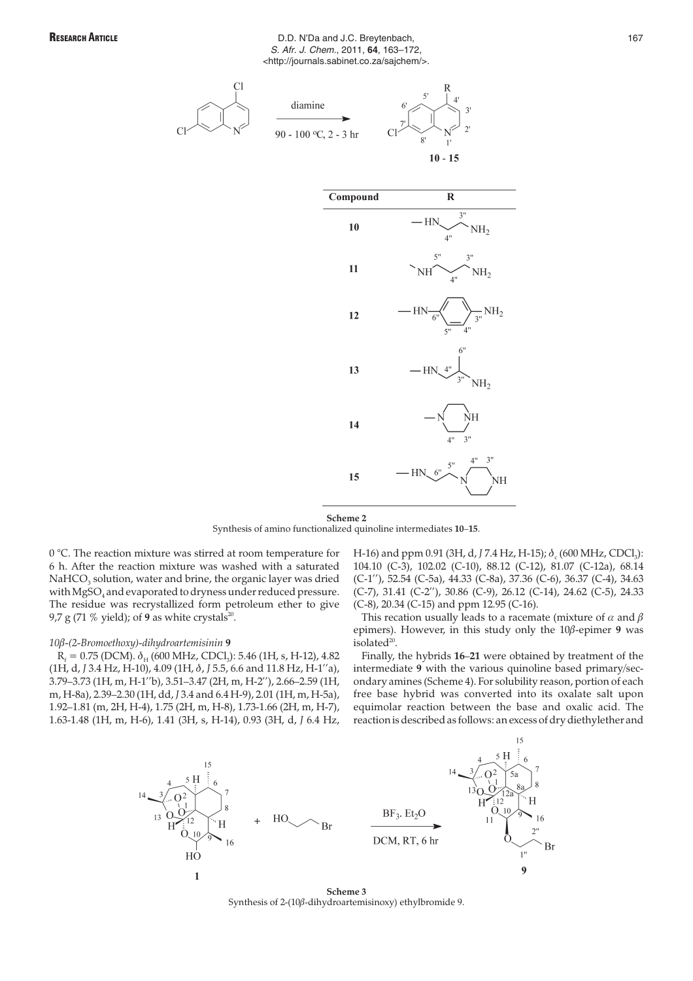# RESEARCH ARTICLE **RESEARCH ARTICLE BLOOM D.D. N'Da and J.C. Breytenbach**, **167 167** S. Afr. J. Chem., 2011, **64**, 163–172, <http://journals.sabinet.co.za/sajchem/>.







**Scheme 2** Synthesis of amino functionalized quinoline intermediates **10**–**15**.

0 °C. The reaction mixture was stirred at room temperature for 6 h. After the reaction mixture was washed with a saturated NaHCO<sub>3</sub> solution, water and brine, the organic layer was dried with MgSO<sub>4</sub> and evaporated to dryness under reduced pressure. The residue was recrystallized form petroleum ether to give 9,7 g (71  $%$  yield); of 9 as white crystals<sup>20</sup>.

# *10*Ä*-(2-Bromoethoxy)-dihydroartemisinin* **9**

 $R_f = 0.75$  (DCM).  $\delta_H$  (600 MHz, CDCl<sub>3</sub>): 5.46 (1H, s, H-12), 4.82 (1H, d, *J* 3.4 Hz, H-10), 4.09 (1H, Ç, *J* 5.5, 6.6 and 11.8 Hz, H-1''a), 3.79–3.73 (1H, m, H-1''b), 3.51–3.47 (2H, m, H-2''), 2.66–2.59 (1H, m, H-8a), 2.39–2.30 (1H, dd, *J* 3.4 and 6.4 H-9), 2.01 (1H, m, H-5a), 1.92–1.81 (m, 2H, H-4), 1.75 (2H, m, H-8), 1.73-1.66 (2H, m, H-7), 1.63-1.48 (1H, m, H-6), 1.41 (3H, s, H-14), 0.93 (3H, d, *J* 6.4 Hz,

H-16) and ppm 0.91 (3H, d, *J* 7.4 Hz, H-15);  $\delta$  (600 MHz, CDCl<sub>3</sub>): 104.10 (C-3), 102.02 (C-10), 88.12 (C-12), 81.07 (C-12a), 68.14 (C-1''), 52.54 (C-5a), 44.33 (C-8a), 37.36 (C-6), 36.37 (C-4), 34.63 (C-7), 31.41 (C-2''), 30.86 (C-9), 26.12 (C-14), 24.62 (C-5), 24.33 (C-8), 20.34 (C-15) and ppm 12.95 (C-16).

This recation usually leads to a racemate (mixture of  $\alpha$  and  $\beta$ epimers). However, in this study only the  $10\beta$ -epimer 9 was isolated<sup>20</sup>.

Finally, the hybrids **16**–**21** were obtained by treatment of the intermediate **9** with the various quinoline based primary/secondary amines (Scheme 4). For solubility reason, portion of each free base hybrid was converted into its oxalate salt upon equimolar reaction between the base and oxalic acid. The reaction is described as follows: an excess of dry diethylether and



**Scheme 3** Synthesis of 2-(10 $\beta$ -dihydroartemisinoxy) ethylbromide 9.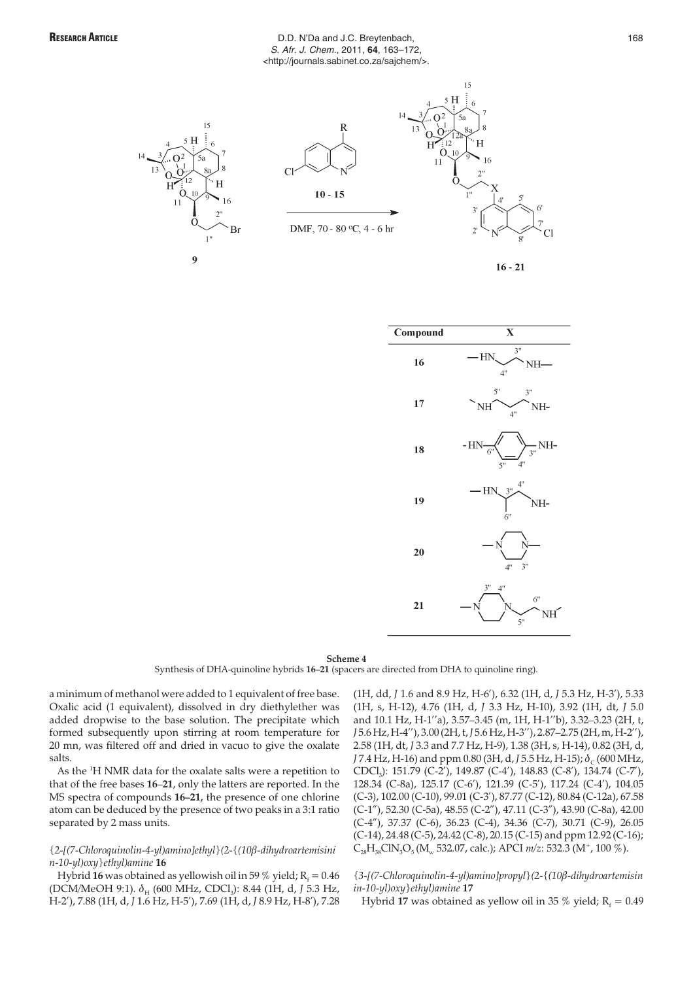# RESEARCH ARTICLE **RESEARCH ARTICLE BLOOM D.D. N'Da and J.C. Breytenbach**, **168** S. Afr. J. Chem., 2011, **64**, 163–172, <http://journals.sabinet.co.za/sajchem/>.





 $15$ 



#### **Scheme 4**

Synthesis of DHA-quinoline hybrids **16–21** (spacers are directed from DHA to quinoline ring).

a minimum of methanol were added to 1 equivalent of free base. Oxalic acid (1 equivalent), dissolved in dry diethylether was added dropwise to the base solution. The precipitate which formed subsequently upon stirring at room temperature for 20 mn, was filtered off and dried in vacuo to give the oxalate salts.

As the <sup>1</sup>H NMR data for the oxalate salts were a repetition to that of the free bases **16**–**21**, only the latters are reported. In the MS spectra of compounds **16–21,** the presence of one chlorine atom can be deduced by the presence of two peaks in a 3:1 ratio separated by 2 mass units.

# *{2-[(7-Chloroquinolin-4-yl)amino]ethyl}(2-{(10*Ä*-dihydroartemisini n-10-yl)oxy}ethyl)amine* **16**

Hybrid 16 was obtained as yellowish oil in 59  $\%$  yield; R<sub> $i$ </sub> = 0.46 (DCM/MeOH 9:1). δ<sub>H</sub> (600 MHz, CDCl<sub>3</sub>): 8.44 (1H, d, *J* 5.3 Hz, H-2'), 7.88 (1H, d, *J* 1.6 Hz, H-5'), 7.69 (1H, d, *J* 8.9 Hz, H-8'), 7.28

(1H, dd, *J* 1.6 and 8.9 Hz, H-6'), 6.32 (1H, d, *J* 5.3 Hz, H-3'), 5.33 (1H, s, H-12), 4.76 (1H, d, *J* 3.3 Hz, H-10), 3.92 (1H, dt, *J* 5.0 and 10.1 Hz, H-1''a), 3.57–3.45 (m, 1H, H-1''b), 3.32–3.23 (2H, t, *J* 5.6 Hz, H-4''), 3.00 (2H, t,*J* 5.6 Hz, H-3''), 2.87–2.75 (2H, m, H-2''), 2.58 (1H, dt, *J* 3.3 and 7.7 Hz, H-9), 1.38 (3H, s, H-14), 0.82 (3H, d, *J* 7.4 Hz, H-16) and ppm 0.80 (3H, d, *J* 5.5 Hz, H-15);  $\delta_c$  (600 MHz, CDCl3): 151.79 (C-2'), 149.87 (C-4'), 148.83 (C-8'), 134.74 (C-7'), 128.34 (C-8a), 125.17 (C-6'), 121.39 (C-5'), 117.24 (C-4'), 104.05 (C-3), 102.00 (C-10), 99.01 (C-3'), 87.77 (C-12), 80.84 (C-12a), 67.58 (C-1"), 52.30 (C-5a), 48.55 (C-2"), 47.11 (C-3"), 43.90 (C-8a), 42.00 (C-4"), 37.37 (C-6), 36.23 (C-4), 34.36 (C-7), 30.71 (C-9), 26.05 (C-14), 24.48 (C-5), 24.42 (C-8), 20.15 (C-15) and ppm 12.92 (C-16); C<sub>28</sub>H<sub>38</sub>ClN<sub>3</sub>O<sub>5</sub> (M<sub>w</sub> 532.07, calc.); APCI *m*/z: 532.3 (M<sup>+</sup>, 100 %).

# *{3-[(7-Chloroquinolin-4-yl)amino]propyl}(2-{(10*Ä*-dihydroartemisin in-10-yl)oxy}ethyl)amine* **17**

Hybrid 17 was obtained as yellow oil in 35 % yield;  $R_6 = 0.49$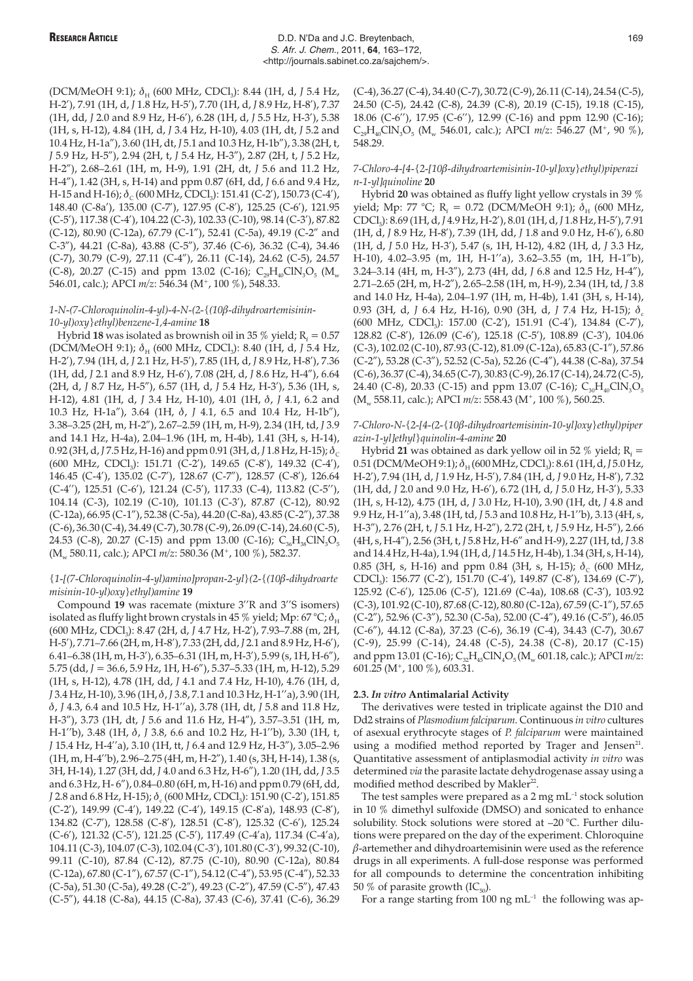(DCM/MeOH 9:1); δ<sub>H</sub> (600 MHz, CDCl<sub>3</sub>): 8.44 (1H, d, *J* 5.4 Hz, H-2'), 7.91 (1H, d, *J* 1.8 Hz, H-5'), 7.70 (1H, d, *J* 8.9 Hz, H-8'), 7.37 (1H, dd, *J* 2.0 and 8.9 Hz, H-6'), 6.28 (1H, d, *J* 5.5 Hz, H-3'), 5.38 (1H, s, H-12), 4.84 (1H, d, *J* 3.4 Hz, H-10), 4.03 (1H, dt, *J* 5.2 and 10.4 Hz, H-1a"), 3.60 (1H, dt, *J* 5.1 and 10.3 Hz, H-1b"), 3.38 (2H, t, *J* 5.9 Hz, H-5"), 2.94 (2H, t, *J* 5.4 Hz, H-3"), 2.87 (2H, t, *J* 5.2 Hz, H-2"), 2.68–2.61 (1H, m, H-9), 1.91 (2H, dt, *J* 5.6 and 11.2 Hz, H-4"), 1.42 (3H, s, H-14) and ppm 0.87 (6H, dd, *J* 6.6 and 9.4 Hz, H-15 and H-16);  $\delta_c$  (600 MHz, CDCl<sub>3</sub>): 151.41 (C-2'), 150.73 (C-4'), 148.40 (C-8a'), 135.00 (C-7'), 127.95 (C-8'), 125.25 (C-6'), 121.95 (C-5'), 117.38 (C-4'), 104.22 (C-3), 102.33 (C-10), 98.14 (C-3'), 87.82 (C-12), 80.90 (C-12a), 67.79 (C-1"), 52.41 (C-5a), 49.19 (C-2" and C-3"), 44.21 (C-8a), 43.88 (C-5"), 37.46 (C-6), 36.32 (C-4), 34.46 (C-7), 30.79 (C-9), 27.11 (C-4"), 26.11 (C-14), 24.62 (C-5), 24.57 (C-8), 20.27 (C-15) and ppm 13.02 (C-16);  $C_{29}H_{40}CIN_3O_5 (M_{w}$ 546.01, calc.); APCI  $m/z$ : 546.34 (M<sup>+</sup>, 100 %), 548.33.

# 1-N-(7-Chloroquinolin-4-yl)-4-N-(2-{(10β-dihydroartemisinin-*10-yl)oxy}ethyl)benzene-1,4-amine* **18**

Hybrid 18 was isolated as brownish oil in 35 % yield;  $R_f = 0.57$ (DCM/MeOH 9:1);  $\delta_{\rm H}$  (600 MHz, CDCl<sub>3</sub>): 8.40 (1H, d, *J* 5.4 Hz, H-2'), 7.94 (1H, d, *J* 2.1 Hz, H-5'), 7.85 (1H, d, *J* 8.9 Hz, H-8'), 7.36 (1H, dd, *J* 2.1 and 8.9 Hz, H-6'), 7.08 (2H, d, *J* 8.6 Hz, H-4"), 6.64 (2H, d, *J* 8.7 Hz, H-5"), 6.57 (1H, d, *J* 5.4 Hz, H-3'), 5.36 (1H, s, H-12), 4.81 (1H, d, J 3.4 Hz, H-10), 4.01 (1H,  $\delta$ , J 4.1, 6.2 and 10.3 Hz, H-1a"), 3.64 (1H, Ç, *J* 4.1, 6.5 and 10.4 Hz, H-1b"), 3.38–3.25 (2H, m, H-2"), 2.67–2.59 (1H, m, H-9), 2.34 (1H, td, *J* 3.9 and 14.1 Hz, H-4a), 2.04–1.96 (1H, m, H-4b), 1.41 (3H, s, H-14), 0.92 (3H, d, *J* 7.5 Hz, H-16) and ppm 0.91 (3H, d, *J* 1.8 Hz, H-15);  $\delta_c$ (600 MHz, CDCl<sub>3</sub>): 151.71 (C-2'), 149.65 (C-8'), 149.32 (C-4'), 146.45 (C-4'), 135.02 (C-7'), 128.67 (C-7"), 128.57 (C-8'), 126.64 (C-4''), 125.51 (C-6'), 121.24 (C-5'), 117.33 (C-4), 113.82 (C-5''), 104.14 (C-3), 102.19 (C-10), 101.13 (C-3'), 87.87 (C-12), 80.92 (C-12a), 66.95 (C-1"), 52.38 (C-5a), 44.20 (C-8a), 43.85 (C-2"), 37.38 (C-6), 36.30 (C-4), 34.49 (C-7), 30.78 (C-9), 26.09 (C-14), 24.60 (C-5), 24.53 (C-8), 20.27 (C-15) and ppm 13.00 (C-16);  $C_{36}H_{38}CIN_{3}O_{5}$ (M<sub>w</sub> 580.11, calc.); APCI  $m/z$ : 580.36 (M<sup>+</sup>, 100 %), 582.37.

# *{1-[(7-Chloroquinolin-4-yl)amino]propan-2-yl}(2-{(10*Ä*-dihydroarte misinin-10-yl)oxy}ethyl)amine* **19**

Compound **19** was racemate (mixture 3''R and 3''S isomers) isolated as fluffy light brown crystals in 45 % yield; Mp: 67 °C;  $\delta_{\rm H}$ (600 MHz, CDCl<sub>3</sub>): 8.47 (2H, d, J 4.7 Hz, H-2'), 7.93-7.88 (m, 2H, H-5'), 7.71–7.66 (2H, m, H-8'), 7.33 (2H, dd, *J* 2.1 and 8.9 Hz, H-6'), 6.41–6.38 (1H, m, H-3'), 6.35–6.31 (1H, m, H-3'), 5.99 (s, 1H, H-6"), 5.75 (dd, *J* = 36.6, 5.9 Hz, 1H, H-6"), 5.37–5.33 (1H, m, H-12), 5.29 (1H, s, H-12), 4.78 (1H, dd, *J* 4.1 and 7.4 Hz, H-10), 4.76 (1H, d, *J* 3.4 Hz, H-10), 3.96 (1H, Ç, *J* 3.8, 7.1 and 10.3 Hz, H-1''a), 3.90 (1H, Ç, *J* 4.3, 6.4 and 10.5 Hz, H-1''a), 3.78 (1H, dt, *J* 5.8 and 11.8 Hz, H-3"), 3.73 (1H, dt, *J* 5.6 and 11.6 Hz, H-4"), 3.57–3.51 (1H, m, H-1''b), 3.48 (1H, Ç, *J* 3.8, 6.6 and 10.2 Hz, H-1''b), 3.30 (1H, t, *J* 15.4 Hz, H-4''a), 3.10 (1H, tt, *J* 6.4 and 12.9 Hz, H-3"), 3.05–2.96 (1H, m, H-4''b), 2.96–2.75 (4H, m, H-2"), 1.40 (s, 3H, H-14), 1.38 (s, 3H, H-14), 1.27 (3H, dd, *J* 4.0 and 6.3 Hz, H-6"), 1.20 (1H, dd, *J* 3.5 and 6.3 Hz, H- 6"), 0.84–0.80 (6H, m, H-16) and ppm 0.79 (6H, dd, *J* 2.8 and 6.8 Hz, H-15);  $\delta$  (600 MHz, CDCl<sub>3</sub>): 151.90 (C-2'), 151.85 (C-2'), 149.99 (C-4'), 149.22 (C-4'), 149.15 (C-8'a), 148.93 (C-8'), 134.82 (C-7'), 128.58 (C-8'), 128.51 (C-8'), 125.32 (C-6'), 125.24 (C-6'), 121.32 (C-5'), 121.25 (C-5'), 117.49 (C-4'a), 117.34 (C-4'a), 104.11 (C-3), 104.07 (C-3), 102.04 (C-3'), 101.80 (C-3'), 99.32 (C-10), 99.11 (C-10), 87.84 (C-12), 87.75 (C-10), 80.90 (C-12a), 80.84 (C-12a), 67.80 (C-1"), 67.57 (C-1"), 54.12 (C-4"), 53.95 (C-4"), 52.33 (C-5a), 51.30 (C-5a), 49.28 (C-2"), 49.23 (C-2"), 47.59 (C-5"), 47.43 (C-5"), 44.18 (C-8a), 44.15 (C-8a), 37.43 (C-6), 37.41 (C-6), 36.29

(C-4), 36.27 (C-4), 34.40 (C-7), 30.72 (C-9), 26.11 (C-14), 24.54 (C-5), 24.50 (C-5), 24.42 (C-8), 24.39 (C-8), 20.19 (C-15), 19.18 (C-15), 18.06 (C-6''), 17.95 (C-6''), 12.99 (C-16) and ppm 12.90 (C-16); C<sub>29</sub>H<sub>40</sub>ClN<sub>3</sub>O<sub>5</sub> (M<sub>w</sub> 546.01, calc.); APCI *m*/z: 546.27 (M<sup>+</sup>, 90 %), 548.29.

# *7-Chloro-4-[4-{2-[10*Ä*-dihydroartemisinin-10-yl]oxy}ethyl)piperazi n-1-yl]quinoline* **20**

Hybrid **20** was obtained as fluffy light yellow crystals in 39 % yield; Mp: 77 °C; R<sub>f</sub> = 0.72 (DCM/MeOH 9:1);  $\delta_{\rm H}$  (600 MHz, CDCl3): 8.69 (1H, d, *J* 4.9 Hz, H-2'), 8.01 (1H, d, *J* 1.8 Hz, H-5'), 7.91 (1H, d, *J* 8.9 Hz, H-8'), 7.39 (1H, dd, *J* 1.8 and 9.0 Hz, H-6'), 6.80 (1H, d, *J* 5.0 Hz, H-3'), 5.47 (s, 1H, H-12), 4.82 (1H, d, *J* 3.3 Hz, H-10), 4.02–3.95 (m, 1H, H-1''a), 3.62–3.55 (m, 1H, H-1"b), 3.24–3.14 (4H, m, H-3"), 2.73 (4H, dd, *J* 6.8 and 12.5 Hz, H-4"), 2.71–2.65 (2H, m, H-2"), 2.65–2.58 (1H, m, H-9), 2.34 (1H, td, *J* 3.8 and 14.0 Hz, H-4a), 2.04–1.97 (1H, m, H-4b), 1.41 (3H, s, H-14), 0.93 (3H, d, *J* 6.4 Hz, H-16), 0.90 (3H, d, *J* 7.4 Hz, H-15); δ<sub>c</sub> (600 MHz, CDCl<sub>3</sub>): 157.00 (C-2'), 151.91 (C-4'), 134.84 (C-7'), 128.82 (C-8'), 126.09 (C-6'), 125.18 (C-5'), 108.89 (C-3'), 104.06 (C-3), 102.02 (C-10), 87.93 (C-12), 81.09 (C-12a), 65.83 (C-1"), 57.86 (C-2"), 53.28 (C-3"), 52.52 (C-5a), 52.26 (C-4"), 44.38 (C-8a), 37.54 (C-6), 36.37 (C-4), 34.65 (C-7), 30.83 (C-9), 26.17 (C-14), 24.72 (C-5), 24.40 (C-8), 20.33 (C-15) and ppm 13.07 (C-16);  $C_{30}H_{40}CIN_{3}O_{5}$ (M<sub>w</sub> 558.11, calc.); APCI  $m/z$ : 558.43 (M<sup>+</sup>, 100 %), 560.25.

# *7-Chloro-N-{2-[4-(2-{10*Ä*-dihydroartemisinin-10-yl]oxy}ethyl)piper azin-1-yl]ethyl}quinolin-4-amine* **20**

Hybrid 21 was obtained as dark yellow oil in 52 % yield;  $R_f =$ 0.51 (DCM/MeOH 9:1);  $\delta_H$  (600 MHz, CDCl<sub>3</sub>): 8.61 (1H, d, J 5.0 Hz, H-2'), 7.94 (1H, d, *J* 1.9 Hz, H-5'), 7.84 (1H, d, *J* 9.0 Hz, H-8'), 7.32 (1H, dd, *J* 2.0 and 9.0 Hz, H-6'), 6.72 (1H, d, *J* 5.0 Hz, H-3'), 5.33 (1H, s, H-12), 4.75 (1H, d, *J* 3.0 Hz, H-10), 3.90 (1H, dt, *J* 4.8 and 9.9 Hz, H-1''a), 3.48 (1H, td, *J* 5.3 and 10.8 Hz, H-1''b), 3.13 (4H, s, H-3"), 2.76 (2H, t, *J* 5.1 Hz, H-2"), 2.72 (2H, t, *J* 5.9 Hz, H-5"), 2.66 (4H, s, H-4"), 2.56 (3H, t, *J* 5.8 Hz, H-6" and H-9), 2.27 (1H, td, *J* 3.8 and 14.4 Hz, H-4a), 1.94 (1H, d,*J* 14.5 Hz, H-4b), 1.34 (3H, s, H-14), 0.85 (3H, s, H-16) and ppm 0.84 (3H, s, H-15);  $\delta_c$  (600 MHz, CDCl3): 156.77 (C-2'), 151.70 (C-4'), 149.87 (C-8'), 134.69 (C-7'), 125.92 (C-6'), 125.06 (C-5'), 121.69 (C-4a), 108.68 (C-3'), 103.92 (C-3), 101.92 (C-10), 87.68 (C-12), 80.80 (C-12a), 67.59 (C-1"), 57.65 (C-2"), 52.96 (C-3"), 52.30 (C-5a), 52.00 (C-4"), 49.16 (C-5"), 46.05 (C-6"), 44.12 (C-8a), 37.23 (C-6), 36.19 (C-4), 34.43 (C-7), 30.67 (C-9), 25.99 (C-14), 24.48 (C-5), 24.38 (C-8), 20.17 (C-15) and ppm 13.01 (C-16); C<sub>32</sub>H<sub>45</sub>ClN<sub>4</sub>O<sub>5</sub> (M<sub>w</sub> 601.18, calc.); APCI *m*/z: 601.25 (M+, 100 %), 603.31.

# **2.3.** *In vitro* **Antimalarial Activity**

The derivatives were tested in triplicate against the D10 and Dd2 strains of *Plasmodium falciparum*. Continuous *in vitro* cultures of asexual erythrocyte stages of *P. falciparum* were maintained using a modified method reported by Trager and Jensen<sup>21</sup>. Quantitative assessment of antiplasmodial activity *in vitro* was determined *via* the parasite lactate dehydrogenase assay using a modified method described by Makler<sup>22</sup>.

The test samples were prepared as a  $2 \text{ mg } \text{mL}^{-1}$  stock solution in 10 % dimethyl sulfoxide (DMSO) and sonicated to enhance solubility. Stock solutions were stored at –20 °C. Further dilutions were prepared on the day of the experiment. Chloroquine  $\beta$ -artemether and dihydroartemisinin were used as the reference drugs in all experiments. A full-dose response was performed for all compounds to determine the concentration inhibiting 50 % of parasite growth  $(IC_{50})$ .

For a range starting from 100 ng  $mL^{-1}$  the following was ap-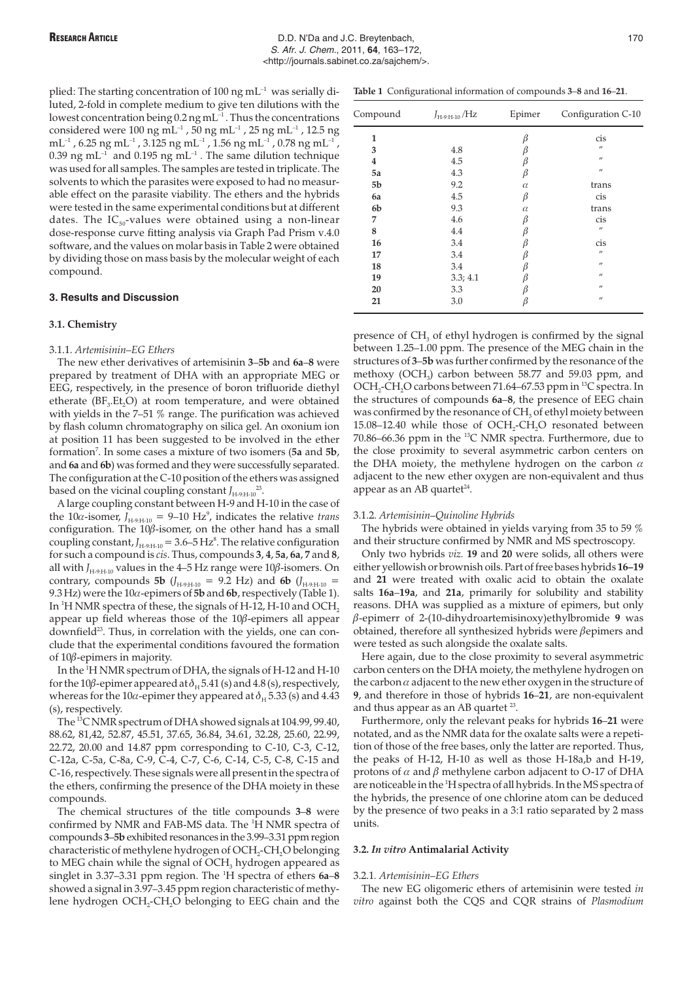plied: The starting concentration of 100 ng  $mL^{-1}$  was serially diluted, 2-fold in complete medium to give ten dilutions with the lowest concentration being  $0.2$  ng mL<sup>-1</sup>. Thus the concentrations considered were  $100$  ng mL<sup>-1</sup> , 50 ng mL<sup>-1</sup> , 25 ng mL<sup>-1</sup> , 12.5 ng  $\rm mL^{-1}$  , 6.25  $\rm ng\,mL^{-1}$  , 3.125  $\rm ng\,mL^{-1}$  , 1.56  $\rm ng\,mL^{-1}$  , 0.78  $\rm ng\,mL^{-1}$  ,  $0.39$  ng mL<sup>-1</sup> and  $0.195$  ng mL<sup>-1</sup> . The same dilution technique was used for all samples. The samples are tested in triplicate. The solvents to which the parasites were exposed to had no measurable effect on the parasite viability. The ethers and the hybrids were tested in the same experimental conditions but at different dates. The  $IC_{50}$ -values were obtained using a non-linear dose-response curve fitting analysis via Graph Pad Prism v.4.0 software, and the values on molar basis in Table 2 were obtained by dividing those on mass basis by the molecular weight of each compound.

# **3. Results and Discussion**

# **3.1. Chemistry**

# 3.1.1. *Artemisinin–EG Ethers*

The new ether derivatives of artemisinin **3**–**5b** and **6a**–**8** were prepared by treatment of DHA with an appropriate MEG or EEG, respectively, in the presence of boron trifluoride diethyl etherate ( $BF_3.Et_2O$ ) at room temperature, and were obtained with yields in the 7–51 % range. The purification was achieved by flash column chromatography on silica gel. An oxonium ion at position 11 has been suggested to be involved in the ether formation7 . In some cases a mixture of two isomers (**5a** and **5b**, and **6a** and **6b**) was formed and they were successfully separated. The configuration at the C-10 position of the ethers was assigned based on the vicinal coupling constant  $J_{\text{H-9:H-10}}^{23}$ .

A large coupling constant between H-9 and H-10 in the case of the 10 $\alpha$ -isomer,  $J_{H-9:H-10} = 9{\text -}10 \text{ Hz}^9$ , indicates the relative *trans* configuration. The  $10\beta$ -isomer, on the other hand has a small coupling constant,  $J_{H-9:H-10} = 3.6 - 5 Hz<sup>8</sup>$ . The relative configuration for such a compound is *cis*. Thus, compounds **3**, **4**, **5a**, **6a**, **7** and **8**, all with  $J_{H-9:H-10}$  values in the 4–5 Hz range were 10 $\beta$ -isomers. On contrary, compounds **5b** ( $J_{H-9:H-10}$  = 9.2 Hz) and **6b** ( $J_{H-9:H-10}$  = 9.3 Hz) were the  $10\alpha$ -epimers of  $5b$  and  $6b$ , respectively (Table 1). In  $^1\rm H$  NMR spectra of these, the signals of H-12, H-10 and OCH $_2$ appear up field whereas those of the  $10\beta$ -epimers all appear downfield<sup>23</sup>. Thus, in correlation with the yields, one can conclude that the experimental conditions favoured the formation of  $10\beta$ -epimers in majority.

In the <sup>1</sup> H NMR spectrum of DHA, the signals of H-12 and H-10 for the 10 $\beta$ -epimer appeared at  $\delta_H$  5.41 (s) and 4.8 (s), respectively, whereas for the 10 $\alpha$ -epimer they appeared at  $\delta_H$  5.33 (s) and 4.43 (s), respectively.

The 13C NMR spectrum of DHA showed signals at 104.99, 99.40, 88.62, 81,42, 52.87, 45.51, 37.65, 36.84, 34.61, 32.28, 25.60, 22.99, 22.72, 20.00 and 14.87 ppm corresponding to C-10, C-3, C-12, C-12a, C-5a, C-8a, C-9, C-4, C-7, C-6, C-14, C-5, C-8, C-15 and C-16, respectively. These signals were all present in the spectra of the ethers, confirming the presence of the DHA moiety in these compounds.

The chemical structures of the title compounds **3**–**8** were confirmed by NMR and FAB-MS data. The <sup>1</sup>H NMR spectra of compounds **3**–**5b** exhibited resonances in the 3.99–3.31 ppm region characteristic of methylene hydrogen of OCH<sub>2</sub>-CH<sub>2</sub>O belonging to MEG chain while the signal of  $OCH<sub>3</sub>$  hydrogen appeared as singlet in 3.37–3.31 ppm region. The <sup>1</sup> H spectra of ethers **6a**–**8** showed a signal in 3.97–3.45 ppm region characteristic of methylene hydrogen OCH<sub>2</sub>-CH<sub>2</sub>O belonging to EEG chain and the

**Table 1** Configurational information of compounds **3**–**8** and **16**–**21**.

| Compound | $J_{H-9:H-10}$ /Hz | Epimer   | Configuration C-10 |  |
|----------|--------------------|----------|--------------------|--|
| 1        |                    | β        | cis                |  |
| 3        | 4.8                | ß        | $^{\prime\prime}$  |  |
| 4        | 4.5                | β        | $^{\prime\prime}$  |  |
| 5a       | 4.3                | β        | $^{\prime\prime}$  |  |
| 5b       | 9.2                | $\alpha$ | trans              |  |
| 6a       | 4.5                | β        | cis                |  |
| 6b       | 9.3                | $\alpha$ | trans              |  |
| 7        | 4.6                | β        | cis                |  |
| 8        | 4.4                | β        | $^{\prime\prime}$  |  |
| 16       | 3.4                | β        | cis                |  |
| 17       | 3.4                | β        | $^{\prime\prime}$  |  |
| 18       | 3.4                | β        | $^{\prime\prime}$  |  |
| 19       | 3.3; 4.1           | β        | $^{\prime\prime}$  |  |
| 20       | 3.3                | β        | $^{\prime\prime}$  |  |
| 21       | 3.0                | β        | $^{\prime\prime}$  |  |

presence of  $CH<sub>3</sub>$  of ethyl hydrogen is confirmed by the signal between 1.25–1.00 ppm. The presence of the MEG chain in the structures of **3**–**5b** was further confirmed by the resonance of the methoxy (OCH<sub>3</sub>) carbon between 58.77 and 59.03 ppm, and OCH<sub>2</sub>-CH<sub>2</sub>O carbons between 71.64–67.53 ppm in <sup>13</sup>C spectra. In the structures of compounds **6a**–**8**, the presence of EEG chain was confirmed by the resonance of CH<sub>3</sub> of ethyl moiety between 15.08–12.40 while those of  $OCH_2$ -CH<sub>2</sub>O resonated between 70.86–66.36 ppm in the 13C NMR spectra. Furthermore, due to the close proximity to several asymmetric carbon centers on the DHA moiety, the methylene hydrogen on the carbon  $\alpha$ adjacent to the new ether oxygen are non-equivalent and thus appear as an AB quartet<sup>24</sup>.

## 3.1.2. *Artemisinin–Quinoline Hybrids*

The hybrids were obtained in yields varying from 35 to 59 % and their structure confirmed by NMR and MS spectroscopy.

Only two hybrids *viz.* **19** and **20** were solids, all others were either yellowish or brownish oils. Part of free bases hybrids **16–19** and **21** were treated with oxalic acid to obtain the oxalate salts **16a**–**19a**, and **21a**, primarily for solubility and stability reasons. DHA was supplied as a mixture of epimers, but only Ä-epimerr of 2-(10-dihydroartemisinoxy)ethylbromide **9** was obtained, therefore all synthesized hybrids were  $\beta$ epimers and were tested as such alongside the oxalate salts.

Here again, due to the close proximity to several asymmetric carbon centers on the DHA moiety, the methylene hydrogen on the carbon  $\alpha$  adjacent to the new ether oxygen in the structure of **9**, and therefore in those of hybrids **16**–**21**, are non-equivalent and thus appear as an AB quartet  $23$ .

Furthermore, only the relevant peaks for hybrids **16**–**21** were notated, and as the NMR data for the oxalate salts were a repetition of those of the free bases, only the latter are reported. Thus, the peaks of H-12, H-10 as well as those H-18a,b and H-19, protons of  $\alpha$  and  $\beta$  methylene carbon adjacent to O-17 of DHA are noticeable in the <sup>1</sup>H spectra of all hybrids. In the MS spectra of the hybrids, the presence of one chlorine atom can be deduced by the presence of two peaks in a 3:1 ratio separated by 2 mass units.

### **3.2.** *In vitro* **Antimalarial Activity**

#### 3.2.1*. Artemisinin–EG Ethers*

The new EG oligomeric ethers of artemisinin were tested *in vitro* against both the CQS and CQR strains of *Plasmodium*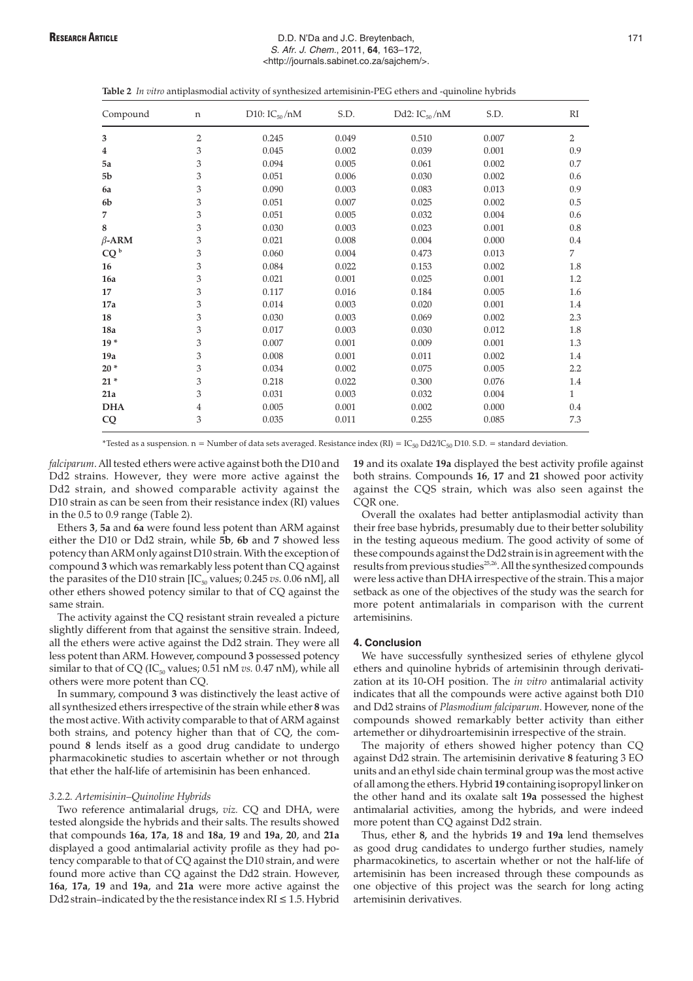## RESEARCH ARTICLE **RESEARCH ARTICLE EXECUTE:** D.D. N'Da and J.C. Breytenbach, 171 S. Afr. J. Chem., 2011, **64**, 163–172, <http://journals.sabinet.co.za/sajchem/>.

|  | <b>Table 2</b> In vitro antiplasmodial activity of synthesized artemisinin-PEG ethers and -quinoline hybrids |  |
|--|--------------------------------------------------------------------------------------------------------------|--|
|--|--------------------------------------------------------------------------------------------------------------|--|

| Compound        | n | D10: $IC_{50}$ /nM | S.D.  | Dd2: $IC_{50}/nM$ | S.D.  | RI             |
|-----------------|---|--------------------|-------|-------------------|-------|----------------|
| 3               | 2 | 0.245              | 0.049 | 0.510             | 0.007 | $\overline{2}$ |
| 4               | 3 | 0.045              | 0.002 | 0.039             | 0.001 | 0.9            |
| 5a              | 3 | 0.094              | 0.005 | 0.061             | 0.002 | 0.7            |
| 5b              | 3 | 0.051              | 0.006 | 0.030             | 0.002 | 0.6            |
| 6a              | 3 | 0.090              | 0.003 | 0.083             | 0.013 | 0.9            |
| 6 <sub>b</sub>  | 3 | 0.051              | 0.007 | 0.025             | 0.002 | 0.5            |
| 7               | 3 | 0.051              | 0.005 | 0.032             | 0.004 | 0.6            |
| 8               | 3 | 0.030              | 0.003 | 0.023             | 0.001 | 0.8            |
| $\beta$ -ARM    | 3 | 0.021              | 0.008 | 0.004             | 0.000 | 0.4            |
| CQ <sup>b</sup> | 3 | 0.060              | 0.004 | 0.473             | 0.013 | 7              |
| 16              | 3 | 0.084              | 0.022 | 0.153             | 0.002 | 1.8            |
| 16a             | 3 | 0.021              | 0.001 | 0.025             | 0.001 | 1.2            |
| 17              | 3 | 0.117              | 0.016 | 0.184             | 0.005 | 1.6            |
| 17a             | 3 | 0.014              | 0.003 | 0.020             | 0.001 | 1.4            |
| 18              | 3 | 0.030              | 0.003 | 0.069             | 0.002 | 2.3            |
| 18a             | 3 | 0.017              | 0.003 | 0.030             | 0.012 | 1.8            |
| $19*$           | 3 | 0.007              | 0.001 | 0.009             | 0.001 | 1.3            |
| 19a             | 3 | 0.008              | 0.001 | 0.011             | 0.002 | 1.4            |
| $20*$           | 3 | 0.034              | 0.002 | 0.075             | 0.005 | 2.2            |
| $21*$           | 3 | 0.218              | 0.022 | 0.300             | 0.076 | 1.4            |
| 21a             | 3 | 0.031              | 0.003 | 0.032             | 0.004 | $\mathbf{1}$   |
| <b>DHA</b>      | 4 | 0.005              | 0.001 | 0.002             | 0.000 | 0.4            |
| CQ              | 3 | 0.035              | 0.011 | 0.255             | 0.085 | 7.3            |

\*Tested as a suspension. n = Number of data sets averaged. Resistance index (RI) =  $IC_{50}$  Dd2/IC<sub>50</sub> D10. S.D. = standard deviation.

*falciparum*. All tested ethers were active against both the D10 and Dd2 strains. However, they were more active against the Dd2 strain, and showed comparable activity against the D10 strain as can be seen from their resistance index (RI) values in the 0.5 to 0.9 range (Table 2).

Ethers **3**, **5a** and **6a** were found less potent than ARM against either the D10 or Dd2 strain, while **5b**, **6b** and **7** showed less potency than ARM only against D10 strain. With the exception of compound **3** which was remarkably less potent than CQ against the parasites of the D10 strain  $[IC_{50}$  values; 0.245 *vs*. 0.06 nM], all other ethers showed potency similar to that of CQ against the same strain.

The activity against the CQ resistant strain revealed a picture slightly different from that against the sensitive strain. Indeed, all the ethers were active against the Dd2 strain. They were all less potent than ARM. However, compound **3** possessed potency similar to that of CQ (IC<sub>50</sub> values;  $0.51$  nM  $vs.$   $0.47$  nM), while all others were more potent than CQ.

In summary, compound **3** was distinctively the least active of all synthesized ethers irrespective of the strain while ether **8** was the most active. With activity comparable to that of ARM against both strains, and potency higher than that of CQ, the compound **8** lends itself as a good drug candidate to undergo pharmacokinetic studies to ascertain whether or not through that ether the half-life of artemisinin has been enhanced.

### *3.2.2. Artemisinin–Quinoline Hybrids*

Two reference antimalarial drugs, *viz.* CQ and DHA, were tested alongside the hybrids and their salts. The results showed that compounds **16a**, **17a**, **18** and **18a**, **19** and **19a**, **20**, and **21a** displayed a good antimalarial activity profile as they had potency comparable to that of CQ against the D10 strain, and were found more active than CQ against the Dd2 strain. However, **16a**, **17a**, **19** and **19a**, and **21a** were more active against the Dd2 strain-indicated by the the resistance index  $RI \leq 1.5$ . Hybrid

**19** and its oxalate **19a** displayed the best activity profile against both strains. Compounds **16**, **17** and **21** showed poor activity against the CQS strain, which was also seen against the CQR one.

Overall the oxalates had better antiplasmodial activity than their free base hybrids, presumably due to their better solubility in the testing aqueous medium. The good activity of some of these compounds against the Dd2 strain is in agreement with the results from previous studies<sup>25,26</sup>. All the synthesized compounds were less active than DHA irrespective of the strain. This a major setback as one of the objectives of the study was the search for more potent antimalarials in comparison with the current artemisinins.

### **4. Conclusion**

We have successfully synthesized series of ethylene glycol ethers and quinoline hybrids of artemisinin through derivatization at its 10-OH position. The *in vitro* antimalarial activity indicates that all the compounds were active against both D10 and Dd2 strains of *Plasmodium falciparum*. However, none of the compounds showed remarkably better activity than either artemether or dihydroartemisinin irrespective of the strain.

The majority of ethers showed higher potency than CQ against Dd2 strain. The artemisinin derivative **8** featuring 3 EO units and an ethyl side chain terminal group was the most active of all among the ethers. Hybrid **19** containing isopropyl linker on the other hand and its oxalate salt **19a** possessed the highest antimalarial activities, among the hybrids, and were indeed more potent than CQ against Dd2 strain.

Thus, ether **8,** and the hybrids **19** and **19a** lend themselves as good drug candidates to undergo further studies, namely pharmacokinetics, to ascertain whether or not the half-life of artemisinin has been increased through these compounds as one objective of this project was the search for long acting artemisinin derivatives.